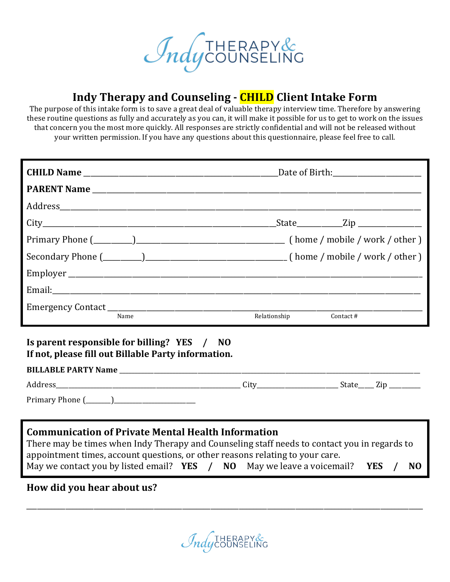

## **Indy Therapy and Counseling - CHILD Client Intake Form**

The purpose of this intake form is to save a great deal of valuable therapy interview time. Therefore by answering these routine questions as fully and accurately as you can, it will make it possible for us to get to work on the issues that concern you the most more quickly. All responses are strictly confidential and will not be released without your written permission. If you have any questions about this questionnaire, please feel free to call.

|      | _State____________Zip ________________ |
|------|----------------------------------------|
|      |                                        |
|      |                                        |
|      |                                        |
|      |                                        |
| Name | Relationship<br>Contact #              |

#### **Is parent responsible for billing? YES** / **NO** If not, please fill out Billable Party information.

#### **BILLABLE PARTY Name** \_\_\_\_\_\_\_\_\_\_\_\_\_\_\_\_\_\_\_\_\_\_\_\_\_\_\_\_\_\_\_\_\_\_\_\_\_\_\_\_\_\_\_\_\_\_\_\_\_\_\_\_\_\_\_\_\_\_\_\_\_\_\_\_\_\_\_\_\_\_\_\_\_\_\_\_\_\_\_\_\_\_\_\_\_\_\_\_\_\_\_\_\_\_\_\_

|                                                                                 | Նու | ______ | $\sim$<br>__________ |
|---------------------------------------------------------------------------------|-----|--------|----------------------|
| $\mathbf{D}$<br>ີ<br>.<br>______<br>_________<br>______________________________ |     |        |                      |

### **Communication of Private Mental Health Information**

| There may be times when Indy Therapy and Counseling staff needs to contact you in regards to |  |  |  |  |            |  |    |
|----------------------------------------------------------------------------------------------|--|--|--|--|------------|--|----|
| appointment times, account questions, or other reasons relating to your care.                |  |  |  |  |            |  |    |
| May we contact you by listed email? $YES / NO$ May we leave a voicemail?                     |  |  |  |  | <b>YES</b> |  | NO |

### How did you hear about us?

 $\mathcal{I}_{ndy}$ COUNSEL

\_\_\_\_\_\_\_\_\_\_\_\_\_\_\_\_\_\_\_\_\_\_\_\_\_\_\_\_\_\_\_\_\_\_\_\_\_\_\_\_\_\_\_\_\_\_\_\_\_\_\_\_\_\_\_\_\_\_\_\_\_\_\_\_\_\_\_\_\_\_\_\_\_\_\_\_\_\_\_\_\_\_\_\_\_\_\_\_\_\_\_\_\_\_\_\_\_\_\_\_\_\_\_\_\_\_\_\_\_\_\_\_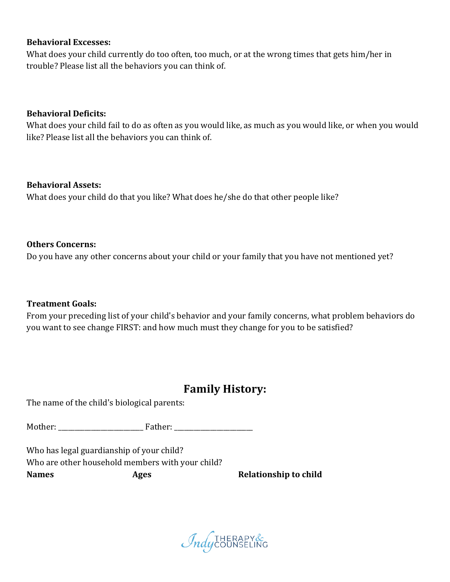#### **Behavioral Excesses:**

What does your child currently do too often, too much, or at the wrong times that gets him/her in trouble? Please list all the behaviors you can think of.

#### **Behavioral Deficits:**

What does your child fail to do as often as you would like, as much as you would like, or when you would like? Please list all the behaviors you can think of.

#### **Behavioral Assets:**

What does your child do that you like? What does he/she do that other people like?

#### **Others Concerns:**

Do you have any other concerns about your child or your family that you have not mentioned yet?

#### **Treatment Goals:**

From your preceding list of your child's behavior and your family concerns, what problem behaviors do you want to see change FIRST: and how much must they change for you to be satisfied?

### **Family History:**

The name of the child's biological parents:

Mother: \_\_\_\_\_\_\_\_\_\_\_\_\_\_\_\_\_\_\_\_\_\_\_\_\_\_ Father: \_\_\_\_\_\_\_\_\_\_\_\_\_\_\_\_\_\_\_\_\_\_\_\_

Who has legal guardianship of your child? Who are other household members with your child? **Names Ages Relationship** to child

*Indycounseling*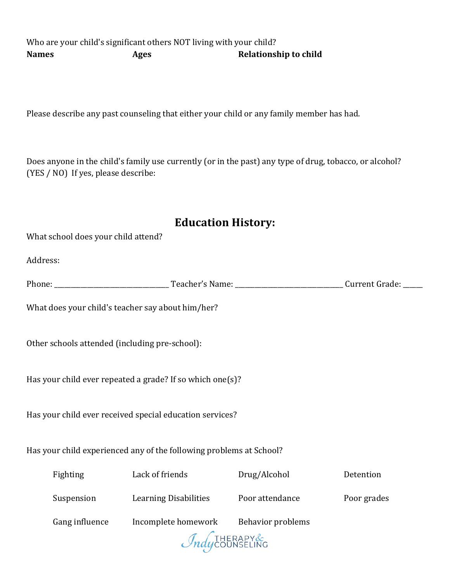Who are your child's significant others NOT living with your child? **Names Ages Relationship** to child

Please describe any past counseling that either your child or any family member has had.

Does anyone in the child's family use currently (or in the past) any type of drug, tobacco, or alcohol?  $(YES / NO)$  If yes, please describe:

### **Education History:**

What school does your child attend?

Address: 

Phone: \_\_\_\_\_\_\_\_\_\_\_\_\_\_\_\_\_\_\_\_\_\_\_\_\_\_\_\_\_\_\_\_\_\_\_ Teacher's Name: \_\_\_\_\_\_\_\_\_\_\_\_\_\_\_\_\_\_\_\_\_\_\_\_\_\_\_\_\_\_\_\_\_ Current Grade: \_\_\_\_\_\_

What does your child's teacher say about him/her?

Other schools attended (including pre-school):

Has your child ever repeated a grade? If so which one(s)?

Has your child ever received special education services?

Has your child experienced any of the following problems at School?

| Fighting              | Lack of friends                       | Drug/Alcohol    | Detention   |  |
|-----------------------|---------------------------------------|-----------------|-------------|--|
| Suspension            | <b>Learning Disabilities</b>          | Poor attendance | Poor grades |  |
| Gang influence        | Incomplete homework Behavior problems |                 |             |  |
| <i>Indycounseling</i> |                                       |                 |             |  |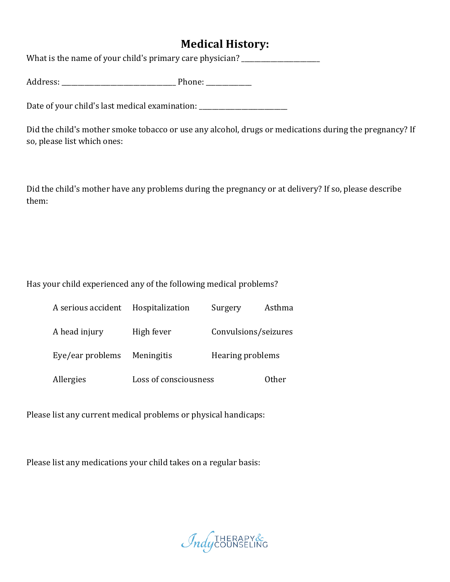## **Medical History:**

What is the name of your child's primary care physician? \_\_\_\_\_\_\_\_\_\_\_\_\_\_\_\_\_\_\_\_\_\_\_

Address: \_\_\_\_\_\_\_\_\_\_\_\_\_\_\_\_\_\_\_\_\_\_\_\_\_\_\_\_\_\_\_\_\_\_\_ Phone: \_\_\_\_\_\_\_\_\_\_\_\_\_\_

Date of your child's last medical examination:

Did the child's mother smoke tobacco or use any alcohol, drugs or medications during the pregnancy? If so, please list which ones:

Did the child's mother have any problems during the pregnancy or at delivery? If so, please describe them:

Has your child experienced any of the following medical problems?

| A serious accident | Hospitalization       | Surgery              | Asthma |
|--------------------|-----------------------|----------------------|--------|
| A head injury      | High fever            | Convulsions/seizures |        |
| Eye/ear problems   | Meningitis            | Hearing problems     |        |
| Allergies          | Loss of consciousness |                      | Other  |

Please list any current medical problems or physical handicaps:

Please list any medications your child takes on a regular basis:

*Indycounseling*